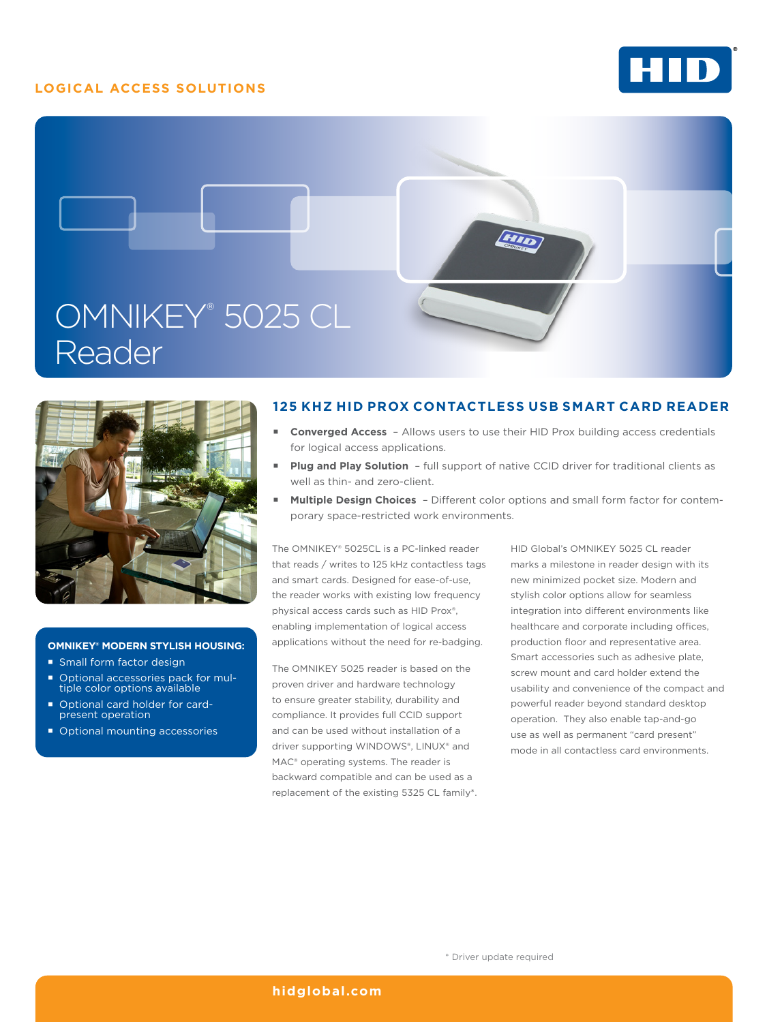# **LOGICAL ACCESS SOLUTIONS**







#### **OMNIKEY® MODERN STYLISH HOUSING:**

- **Small form factor design**
- Optional accessories pack for mul-tiple color options available
- Optional card holder for cardpresent operation
- Optional mounting accessories

## **125 KHZ HID PROX CONTACTLESS USB SMART CARD READER**

- **Converged Access** Allows users to use their HID Prox building access credentials for logical access applications.
- **Plug and Play Solution** full support of native CCID driver for traditional clients as well as thin- and zero-client.
- **Multiple Design Choices**  Different color options and small form factor for contemporary space-restricted work environments.

The OMNIKEY® 5025CL is a PC-linked reader that reads / writes to 125 kHz contactless tags and smart cards. Designed for ease-of-use, the reader works with existing low frequency physical access cards such as HID Prox®, enabling implementation of logical access applications without the need for re-badging.

The OMNIKEY 5025 reader is based on the proven driver and hardware technology to ensure greater stability, durability and compliance. It provides full CCID support and can be used without installation of a driver supporting WINDOWS®, LINUX® and MAC® operating systems. The reader is backward compatible and can be used as a replacement of the existing 5325 CL family\*. HID Global's OMNIKEY 5025 CL reader marks a milestone in reader design with its new minimized pocket size. Modern and stylish color options allow for seamless integration into different environments like healthcare and corporate including offices, production floor and representative area. Smart accessories such as adhesive plate, screw mount and card holder extend the usability and convenience of the compact and powerful reader beyond standard desktop operation. They also enable tap-and-go use as well as permanent "card present" mode in all contactless card environments.

#### **[hidglobal.com](http://www.hidglobal.com)**